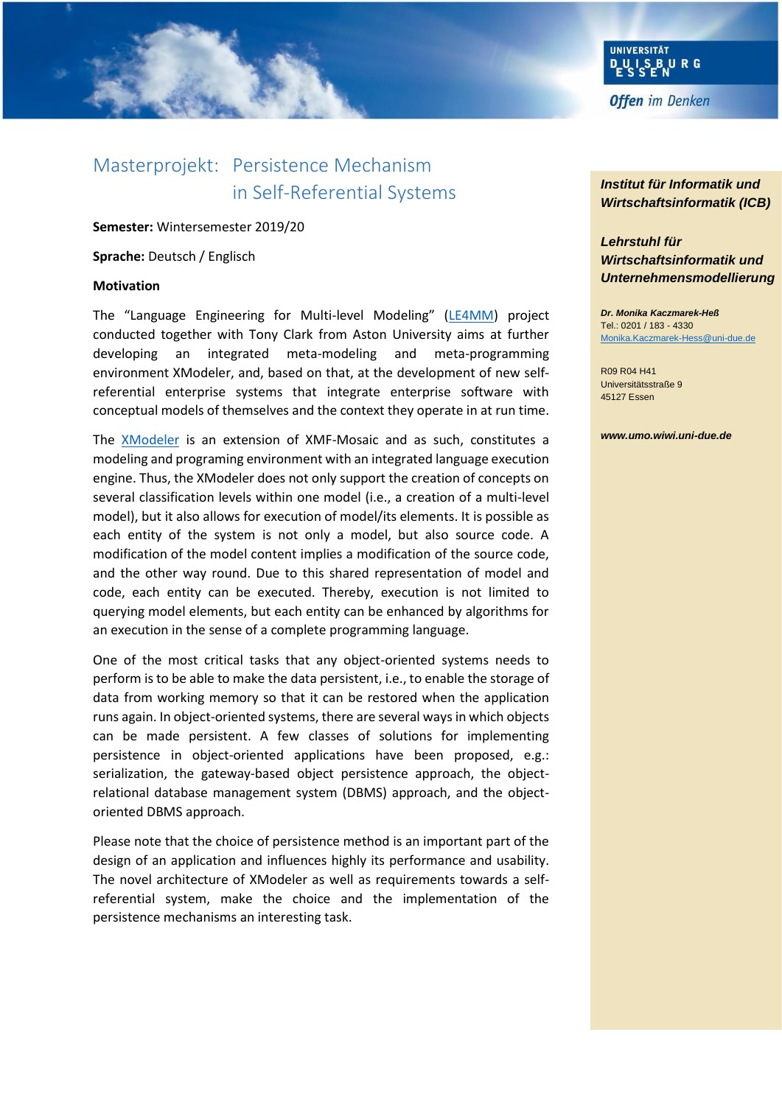

# Masterprojekt: Persistence Mechanism in Self-Referential Systems

**Semester:** Wintersemester 2019/20

**Sprache:** Deutsch / Englisch

### **Motivation**

The "Language Engineering for Multi-level Modeling" ([LE4MM\)](https://www.wi-inf.uni-duisburg-essen.de/LE4MM/) project conducted together with Tony Clark from Aston University aims at further developing an integrated meta-modeling and meta-programming environment XModeler, and, based on that, at the development of new selfreferential enterprise systems that integrate enterprise software with conceptual models of themselves and the context they operate in at run time.

The [XModeler](https://www.wi-inf.uni-duisburg-essen.de/LE4MM/xmodeler-ml/) is an extension of XMF-Mosaic and as such, constitutes a modeling and programing environment with an integrated language execution engine. Thus, the XModeler does not only support the creation of concepts on several classification levels within one model (i.e., a creation of a multi-level model), but it also allows for execution of model/its elements. It is possible as each entity of the system is not only a model, but also source code. A modification of the model content implies a modification of the source code, and the other way round. Due to this shared representation of model and code, each entity can be executed. Thereby, execution is not limited to querying model elements, but each entity can be enhanced by algorithms for an execution in the sense of a complete programming language.

One of the most critical tasks that any object-oriented systems needs to perform is to be able to make the data persistent, i.e., to enable the storage of data from working memory so that it can be restored when the application runs again. In object-oriented systems, there are several ways in which objects can be made persistent. A few classes of solutions for implementing persistence in object-oriented applications have been proposed, e.g.: serialization, the gateway-based object persistence approach, the objectrelational database management system (DBMS) approach, and the objectoriented DBMS approach.

Please note that the choice of persistence method is an important part of the design of an application and influences highly its performance and usability. The novel architecture of XModeler as well as requirements towards a selfreferential system, make the choice and the implementation of the persistence mechanisms an interesting task.

## *Institut für Informatik und Wirtschaftsinformatik (ICB)*

# *Lehrstuhl für Wirtschaftsinformatik und Unternehmensmodellierung*

*Dr. Monika Kaczmarek-Heß* Tel.: 0201 / 183 - 4330 [Monika.Kaczmarek-Hess@uni-due.de](mailto:Monika.Kaczmarek-Hess@uni-due.de)

R09 R04 H41 Universitätsstraße 9 45127 Essen

#### *www.umo.wiwi.uni-due.de*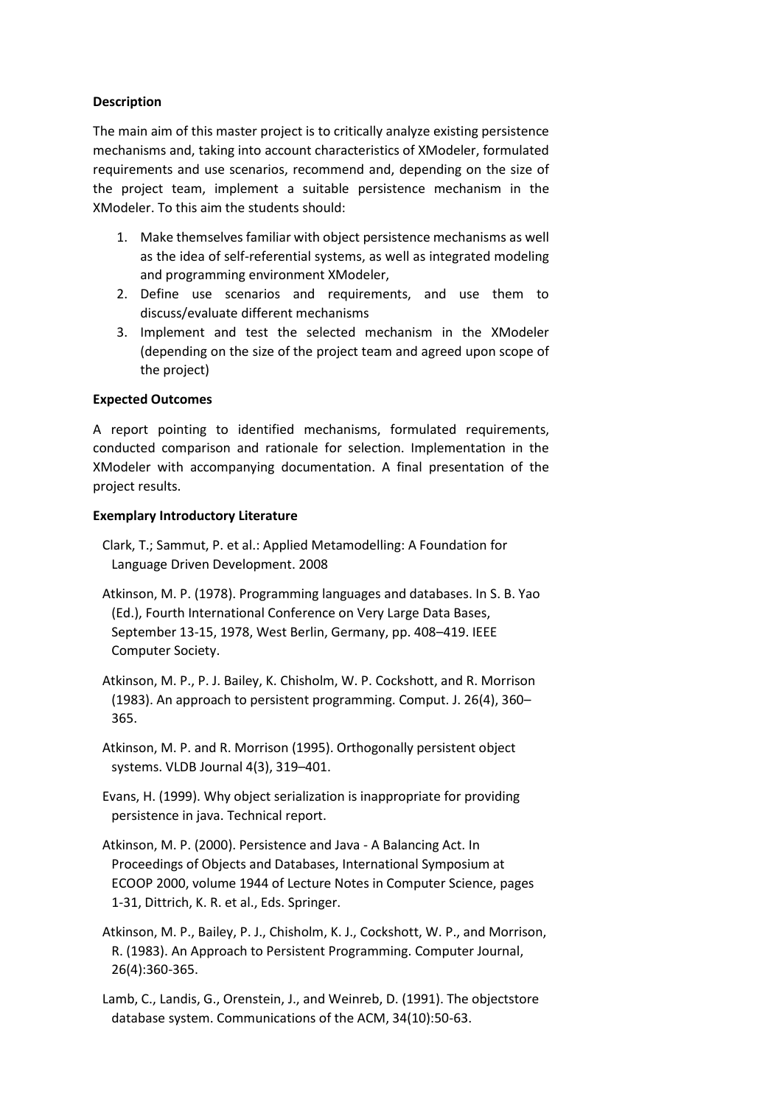## **Description**

The main aim of this master project is to critically analyze existing persistence mechanisms and, taking into account characteristics of XModeler, formulated requirements and use scenarios, recommend and, depending on the size of the project team, implement a suitable persistence mechanism in the XModeler. To this aim the students should:

- 1. Make themselves familiar with object persistence mechanisms as well as the idea of self-referential systems, as well as integrated modeling and programming environment XModeler,
- 2. Define use scenarios and requirements, and use them to discuss/evaluate different mechanisms
- 3. Implement and test the selected mechanism in the XModeler (depending on the size of the project team and agreed upon scope of the project)

## **Expected Outcomes**

A report pointing to identified mechanisms, formulated requirements, conducted comparison and rationale for selection. Implementation in the XModeler with accompanying documentation. A final presentation of the project results.

## **Exemplary Introductory Literature**

- Clark, T.; Sammut, P. et al.: Applied Metamodelling: A Foundation for Language Driven Development. 2008
- Atkinson, M. P. (1978). Programming languages and databases. In S. B. Yao (Ed.), Fourth International Conference on Very Large Data Bases, September 13-15, 1978, West Berlin, Germany, pp. 408–419. IEEE Computer Society.
- Atkinson, M. P., P. J. Bailey, K. Chisholm, W. P. Cockshott, and R. Morrison (1983). An approach to persistent programming. Comput. J. 26(4), 360– 365.
- Atkinson, M. P. and R. Morrison (1995). Orthogonally persistent object systems. VLDB Journal 4(3), 319–401.
- Evans, H. (1999). Why object serialization is inappropriate for providing persistence in java. Technical report.
- Atkinson, M. P. (2000). Persistence and Java A Balancing Act. In Proceedings of Objects and Databases, International Symposium at ECOOP 2000, volume 1944 of Lecture Notes in Computer Science, pages 1-31, Dittrich, K. R. et al., Eds. Springer.

Atkinson, M. P., Bailey, P. J., Chisholm, K. J., Cockshott, W. P., and Morrison, R. (1983). An Approach to Persistent Programming. Computer Journal, 26(4):360-365.

Lamb, C., Landis, G., Orenstein, J., and Weinreb, D. (1991). The objectstore database system. Communications of the ACM, 34(10):50-63.